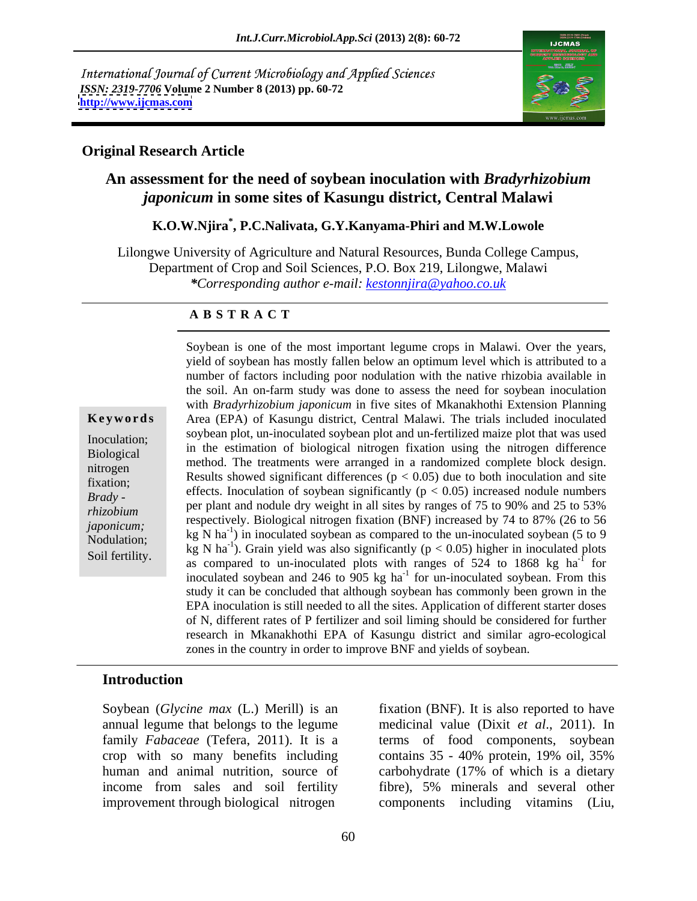International Journal of Current Microbiology and Applied Sciences *ISSN: 2319-7706* **Volume 2 Number 8 (2013) pp. 60-72 <http://www.ijcmas.com>** 



### **Original Research Article**

# **An assessment for the need of soybean inoculation with** *Bradyrhizobium japonicum* **in some sites of Kasungu district, Central Malawi**

# **K.O.W.Njira\* , P.C.Nalivata, G.Y.Kanyama-Phiri and M.W.Lowole**

Lilongwe University of Agriculture and Natural Resources, Bunda College Campus, Department of Crop and Soil Sciences, P.O. Box 219, Lilongwe, Malawi *\*Corresponding author e-mail: kestonnjira@yahoo.co.uk*

### **A B S T R A C T**

**Ke ywo rds** Area (EPA) of Kasungu district, Central Malawi. The trials included inoculated Inoculation; soybean plot, un-inoculated soybean plot and un-fertilized maize plot that was used Biological in the estimation of biological nitrogen fixation using the nitrogen difference method. The treatments were arranged in a randomized complete block design. fixation; Results showed significant differences ( $p < 0.05$ ) due to bout moculation and site *Brady* **-** effects. Inoculation of soybean significantly  $(p < 0.05)$  increased nodule numbers example to the second state of  $25 \times 20\%$ *rhizobium* per plant and hoddle dry weight in an sites by ranges of 75 to 90% and 25 to 35%<br>
respectively. Biological nitrogen fixation (BNF) increased by 74 to 87% (26 to 56 *japonicum;*<br>
kg N ha<sup>-1</sup>) in inoculated soybean as compared to the un-inoculated soybean (5 to 9 Nodulation; kg N ha<sup>-1</sup>). Grain yield was also significantly ( $p < 0.05$ ) higher in inoculated plots Reg N ha<sup>-1</sup>). Grain yield was also significantly ( $p < 0.05$ ) higher in inoculated plots Soybean is one of the most important legume crops in Malawi. Over the years, yield of soybean has mostly fallen below an optimum level which is attributed to a number of factors including poor nodulation with the rative r number of factors including poor nodulation with the native rhizobia available in the soil. An on-farm study was done to assess the need for soybean inoculation with *Bradyrhizobium japonicum* in five sites of Mkanakhothi Extension Planning Results showed significant differences ( $p < 0.05$ ) due to both inoculation and site per plant and nodule dry weight in all sites by ranges of 75 to 90% and 25 to 53% as compared to un-inoculated plots with ranges of 524 to 1868 kg ha<sup>-1</sup> for  $-1$  for for inoculated soybean and 246 to 905 kg  $ha^{-1}$  for un-inoculated soybean. From this for un-inoculated soybean. From this study it can be concluded that although soybean has commonly been grown in the EPA inoculation is still needed to all the sites. Application of different starter doses of N, different rates of P fertilizer and soil liming should be considered for further research in Mkanakhothi EPA of Kasungu district and similar agro-ecological zones in the country in order to improve BNF and yields of soybean.

### **Introduction**

crop with so many benefits including contains 35 - 40% protein, 19% oil, 35% human and animal nutrition, source of carbohydrate (17% of which is a dietary

Soybean (*Glycine max* (L.) Merill) is an fixation (BNF). It is also reported to have annual legume that belongs to the legume medicinal value (Dixit *et al*., 2011). In family *Fabaceae* (Tefera, 2011). It is a terms of food components, soybean income from sales and soil fertility fibre), 5% minerals and several other improvement through biological nitrogen components including vitamins (Liu, contains 35 - 40% protein, 19% oil, 35% carbohydrate (17% of which is a dietary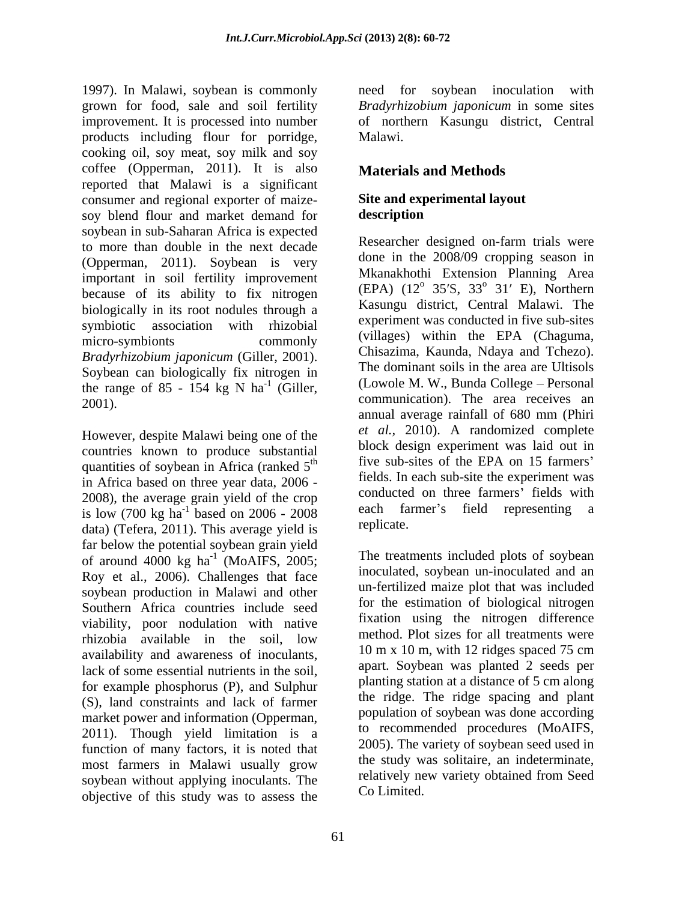1997). In Malawi, soybean is commonly need for soybean inoculation with grown for food, sale and soil fertility *Bradyrhizobium japonicum* in some sites improvement. It is processed into number products including flour for porridge, cooking oil, soy meat, soy milk and soy coffee (Opperman, 2011). It is also **Materials and Methods** reported that Malawi is a significant consumer and regional exporter of maize soy blend flour and market demand for **description** soybean in sub-Saharan Africa is expected to more than double in the next decade (Opperman, 2011). Soybean is very important in soil fertility improvement because of its ability to fix nitrogen biologically in its root nodules through a symbiotic association with rhizobial micro-symbionts commonly  $($ villages $)$  within the EPA (Chaguma, *Bradyrhizobium japonicum* (Giller, 2001). Chisazima, Kaunda, Naaya and Tchezo).<br>Soybean can biologically fix nitrogen in The dominant soils in the area are Ultisols the range of 85 - 154 kg N  $ha^{-1}$  (Giller, 2001).  $\epsilon$  communication. The area receives an

However, despite Malawi being one of the countries known to produce substantial quantities of soybean in Africa (ranked  $5<sup>th</sup>$ in Africa based on three year data, 2006 - 2008), the average grain yield of the crop is low  $(700 \text{ kg ha}^{-1})$  based on  $2006 - 2008$  each factor (Tefera 2011). This average vield is replicate. data) (Tefera, 2011). This average yield is far below the potential soybean grain yield of around  $4000 \text{ kg}$  ha<sup>-1</sup> (MoAIFS, 2005; Roy et al., 2006). Challenges that face soybean production in Malawi and other Southern Africa countries include seed viability, poor nodulation with native rhizobia available in the soil, low availability and awareness of inoculants, lack of some essential nutrients in the soil, for example phosphorus (P), and Sulphur (S), land constraints and lack of farmer market power and information (Opperman, 2011). Though yield limitation is a function of many factors, it is noted that most farmers in Malawi usually grow the sudy was solution and indeterminate, soybean without applying inoculants. The objective of this study was to assess the

of northern Kasungu district, Central Malawi.

# **Materials and Methods**

# **Site and experimental layout description**

 $\frac{1}{1}$  (Giller, (Lowole M. W., Bunda College – Personal  $\overline{f}$  five sub-sites of the EPA on 15 farmers'  $\frac{1}{2}$  based on 2006 - 2008 each farmer's field representing a based on  $2006 - 2008$  each flamer s field representing a Researcher designed on-farm trials were done in the 2008/09 cropping season in Mkanakhothi Extension Planning Area  $(EPA)$   $(12^{\circ} 35^{\prime}S, 33^{\circ} 31^{\prime}E)$ , Northern  $^0$  21/ E) Northorn 31 E), Northern Kasungu district, Central Malawi. The experiment was conducted in five sub-sites (villages) within the EPA (Chaguma, Chisazima, Kaunda, Ndaya and Tchezo). The dominant soils in the area are Ultisols annual average rainfall of 680 mm (Phiri *et al.,* 2010). A randomized complete block design experiment was laid out in fields. In each sub-site the experiment was conducted on three farmers' fields with replicate.

<sup>-1</sup> (MoAIFS, 2005; The treatments included plots of soybean inoculated, soybean un-inoculated and an un-fertilized maize plot that was included for the estimation of biological nitrogen fixation using the nitrogen difference method. Plot sizes for all treatments were 10 m x 10 m, with 12 ridges spaced 75 cm apart. Soybean was planted 2 seeds per planting station at a distance of 5 cm along the ridge. The ridge spacing and plant population of soybean was done according to recommended procedures (MoAIFS, 2005). The variety of soybean seed used in the study was solitaire, an indeterminate, relatively new variety obtained from Seed Co Limited.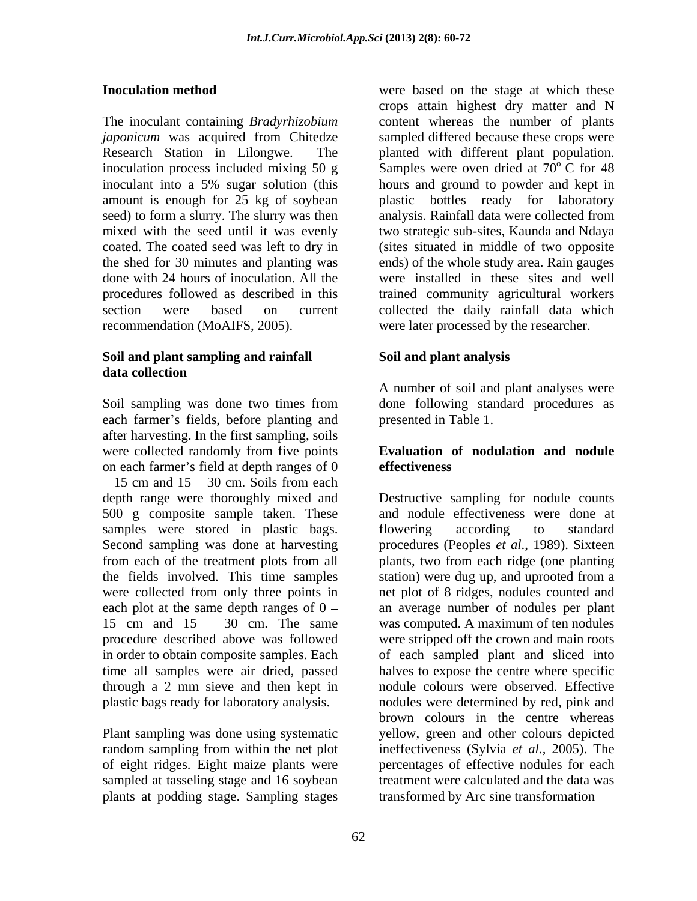The inoculant containing *Bradyrhizobium japonicum* was acquired from Chitedze seed) to form a slurry. The slurry was then analysis. Rainfall data were collected from recommendation (MoAIFS, 2005).

## **Soil and plant sampling and rainfall data collection**

Soil sampling was done two times from done following standard procedures as each farmer's fields, before planting and after harvesting. In the first sampling, soils were collected randomly from five points on each farmer's field at depth ranges of  $0$  effectiveness 15 cm and  $15 - 30$  cm. Soils from each depth range were thoroughly mixed and 500 g composite sample taken. These samples were stored in plastic bags. I flowering according to standard Second sampling was done at harvesting procedures (Peoples *et al*., 1989). Sixteen from each of the treatment plots from all plants, two from each ridge (one planting the fields involved. This time samples station) were dug up, and uprooted from a were collected from only three points in net plot of 8 ridges, nodules counted and each plot at the same depth ranges of  $0 - \alpha$  an average number of nodules per plant 15 cm and 15 – 30 cm. The same was computed. A maximum of ten nodules procedure described above was followed were stripped off the crown and main roots in order to obtain composite samples. Each of each sampled plant and sliced into time all samples were air dried, passed halves to expose the centre where specific through a 2 mm sieve and then kept in nodule colours were observed. Effective plastic bags ready for laboratory analysis.

plants at podding stage. Sampling stages

**Inoculation method** were based on the stage at which these Research Station in Lilongwe. The planted with different plant population. inoculation process included mixing 50 g  $\,$  Samples were oven dried at 70 $^{\circ}$  C for 48 inoculant into a 5% sugar solution (this amount is enough for 25 kg of soybean plastic bottles ready for laboratory mixed with the seed until it was evenly two strategic sub-sites, Kaunda and Ndaya coated. The coated seed was left to dry in (sites situated in middle of two opposite the shed for 30 minutes and planting was ends) of the whole study area. Rain gauges done with 24 hours of inoculation. All the were installed in these sites and well procedures followed as described in this trained community agricultural workers section were based on current collected the daily rainfall data which crops attain highest dry matter and N content whereas the number of plants sampled differed because these crops were  $\rm ^{o}$  C for 48 hours and ground to powder and kept in analysis. Rainfall data were collected from were later processed by the researcher.

# **Soil and plant analysis**

A number of soil and plant analyses were presented in Table 1.

## **Evaluation of nodulation and nodule effectiveness**

Plant sampling was done using systematic yellow, green and other colours depicted random sampling from within the net plot ineffectiveness (Sylvia *et al.*, 2005). The of eight ridges. Eight maize plants were percentages of effective nodules for each sampled at tasseling stage and 16 soybean treatment were calculated and the data was Destructive sampling for nodule counts and nodule effectiveness were done at flowering according to standard station) were dug up, and uprooted from a nodules were determined by red, pink and brown colours in the centre whereas transformed by Arc sine transformation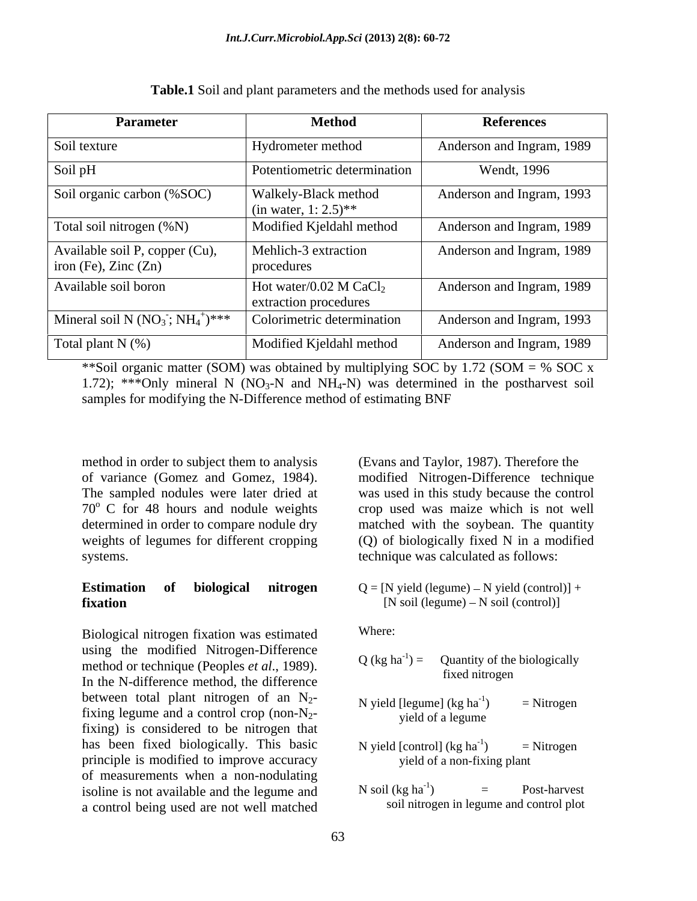| <b>Parameter</b>                                                           | <b>Method</b>                                               | <b>References</b>         |
|----------------------------------------------------------------------------|-------------------------------------------------------------|---------------------------|
| Soil texture                                                               | Hydrometer method                                           | Anderson and Ingram, 1989 |
| Soil pH                                                                    | Potentiometric determination                                | Wendt, 1996               |
| Soil organic carbon (%SOC)                                                 | Walkely-Black method<br>(in water, $1:2.5$ )**              | Anderson and Ingram, 1993 |
| Total soil nitrogen (%N)                                                   | Modified Kjeldahl method                                    | Anderson and Ingram, 1989 |
| Available soil P, copper (Cu),<br>iron (Fe), $\text{Zinc}$ ( $\text{Zn}$ ) | Mehlich-3 extraction<br>procedures                          | Anderson and Ingram, 1989 |
| Available soil boron                                                       | Hot water/0.02 M CaCl <sub>2</sub><br>extraction procedures | Anderson and Ingram, 1989 |
| Mineral soil N $(NO_3$ ; $NH_4^+)***$                                      | Colorimetric determination                                  | Anderson and Ingram, 1993 |
| Total plant $N$ (%)                                                        | Modified Kjeldahl method                                    | Anderson and Ingram, 1989 |

**Table.1** Soil and plant parameters and the methods used for analysis

\*\*Soil organic matter (SOM) was obtained by multiplying SOC by 1.72 (SOM =  $%$  SOC x 1.72); \*\*\*Only mineral N (NO<sub>3</sub>-N and NH<sub>4</sub>-N) was determined in the postharvest soil samples for modifying the N-Difference method of estimating BNF

method in order to subject them to analysis (Evans and Taylor, 1987). Therefore the of variance (Gomez and Gomez, 1984). The sampled nodules were later dried at was used in this study because the control 70<sup>o</sup> C for 48 hours and nodule weights crop used was maize which is not well determined in order to compare nodule dry matched with the soybean. The quantity weights of legumes for different cropping (Q) of biologically fixed N in a modified systems. technique was calculated as follows:

## **Estimation** of **biological nitrogen**  $Q = [N \text{ yield (legume)} - N \text{ yield (control)}] +$ **fixation**  $[N \text{ soil (legume)} - N \text{ soil (control)}]$

Biological nitrogen fixation was estimated using the modified Nitrogen-Difference<br>  $O(\log h a^{-1}) =$  Ouantity of the biologically method or technique (Peoples *et al.*, 1989).  $Q$  (kg na  $)$  = Quantity of the biologically fixed nitrogen fixed nitrogen between total plant nitrogen of an  $N_2$ -<br>N yield [legume] (kg ha<sup>-1</sup>) = Nitrogen fixing legume and a control crop (non-N<sub>2</sub>-<br>yield of a legume fixing) is considered to be nitrogen that has been fixed biologically. This basic  $N$  yield  $[control]$  (kg  $ha^{-1}$ ) = Nitrogen principle is modified to improve accuracy of measurements when a non-nodulating<br>isoline is not available and the legume and  $N \text{ soil (kg ha<sup>-1</sup>)}$ isoline is not available and the legume and  $N \text{ soil (kg ha}^{-1})$  = Post-harvest a control being used are not well matched

modified Nitrogen-Difference technique

Where: where  $\sim$ 

- $Q$  (kg ha<sup>-1</sup>) = Quantity of the biologically  $) =$  Quantity of the biologically fixed nitrogen
- N yield [legume]  $(kg ha^{-1})$  = Nitrogen  $)$  = Nitrogen yield of a legume
- N yield [control]  $(kg ha^{-1})$  = Nitrogen  $) =$  Nitrogen yield of a non-fixing plant
- N soil  $(kg ha^{-1})$  = Post-harvest  $)$  = Post-harvest soil nitrogen in legume and control plot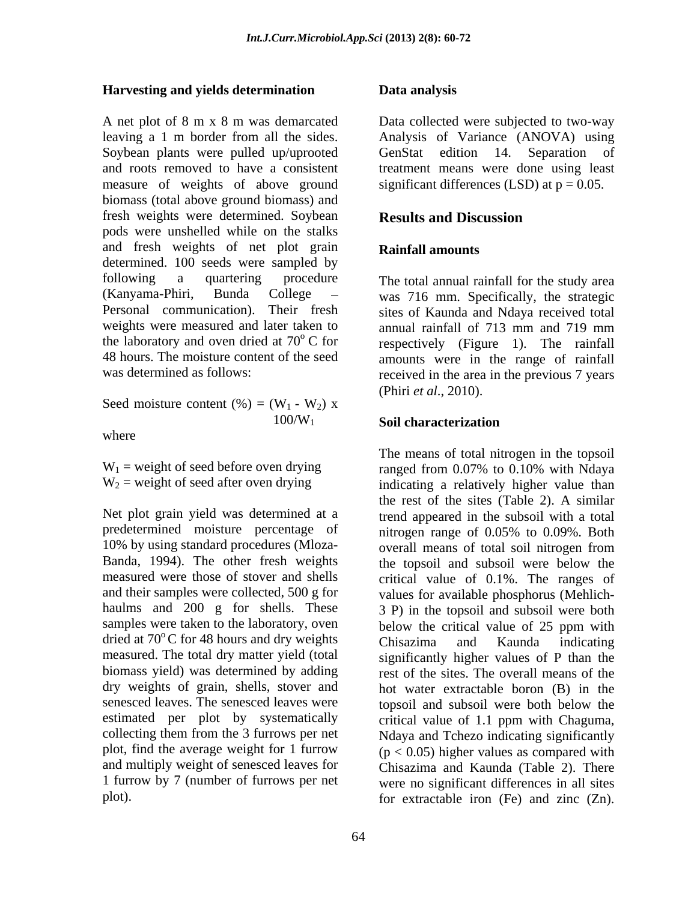# **Harvesting and yields determination**

A net plot of 8 m x 8 m was demarcated Data collected were subjected to two-way leaving a 1 m border from all the sides. Analysis of Variance (ANOVA) using Soybean plants were pulled up/uprooted GenStat edition 14. Separation of and roots removed to have a consistent treatment means were done using least measure of weights of above ground biomass (total above ground biomass) and fresh weights were determined. Soybean Results and Discussion pods were unshelled while on the stalks and fresh weights of net plot grain **Rainfall amounts** determined. 100 seeds were sampled by following a quartering procedure The total annual rainfall for the study area (Kanyama-Phiri, Bunda College was 716 mm. Specifically, the strategic Personal communication). Their fresh sites of Kaunda and Ndaya received total weights were measured and later taken to annual rainfall of 713 mm and 719 mm the laboratory and oven dried at  $70^{\circ}$  C for respectively (Figure 1). The rainfall 48 hours. The moisture content of the seed amounts were in the range of rainfall

Seed moisture content  $(\% ) = (W_1 - W_2) x$ 

where the contract of the contract of the contract of the contract of the contract of the contract of the contract of the contract of the contract of the contract of the contract of the contract of the contract of the cont

Net plot grain yield was determined at a predetermined moisture percentage of nitrogen range of 0.05% to 0.09%. Both 10% by using standard procedures (Mloza samples were taken to the laboratory, oven below the critical value of 25 ppm with dried at  $70^{\circ}$ C for 48 hours and dry weights chisazima and Kaunda indicating biomass yield) was determined by adding estimated per plot by systematically critical value of 1.1 ppm with Chaguma, collecting them from the 3 furrows per net plot, find the average weight for 1 furrow

# **Data analysis**

GenStat edition 14. Separation of significant differences (LSD) at  $p = 0.05$ .

# **Results and Discussion**

# **Rainfall amounts**

was determined as follows:<br>received in the area in the previous 7 years (Phiri *et al*., 2010).

### $100/W_1$  Soil characterization **Soil characterization**

 $W_1$  = weight of seed before oven drying ranged from 0.07% to 0.10% with Ndaya  $W_2$  = weight of seed after oven drying indicating a relatively higher value than Banda, 1994). The other fresh weights the topsoil and subsoil were below the measured were those of stover and shells critical value of 0.1%. The ranges of and their samples were collected, 500 g for values for available phosphorus (Mehlich haulms and 200 g for shells. These 3 P) in the topsoil and subsoil were both measured. The total dry matter yield (total significantly higher values of P than the dry weights of grain, shells, stover and hot water extractable boron (B) in the senesced leaves. The senesced leaves were topsoil and subsoil were both below the and multiply weight of senesced leaves for Chisazima and Kaunda (Table 2). There 1 furrow by 7 (number of furrows per net were no significant differences in all sites plot). for extractable iron (Fe) and zinc (Zn).The means of total nitrogen in the topsoil the rest of the sites (Table 2). A similar trend appeared in the subsoil with a total nitrogen range of 0.05% to 0.09%. Both overall means of total soil nitrogen from below the critical value of 25 ppm with Chisazima and Kaunda indicating rest of the sites. The overall means of the critical value of 1.1 ppm with Chaguma, Ndaya and Tchezo indicating significantly  $(p < 0.05)$  higher values as compared with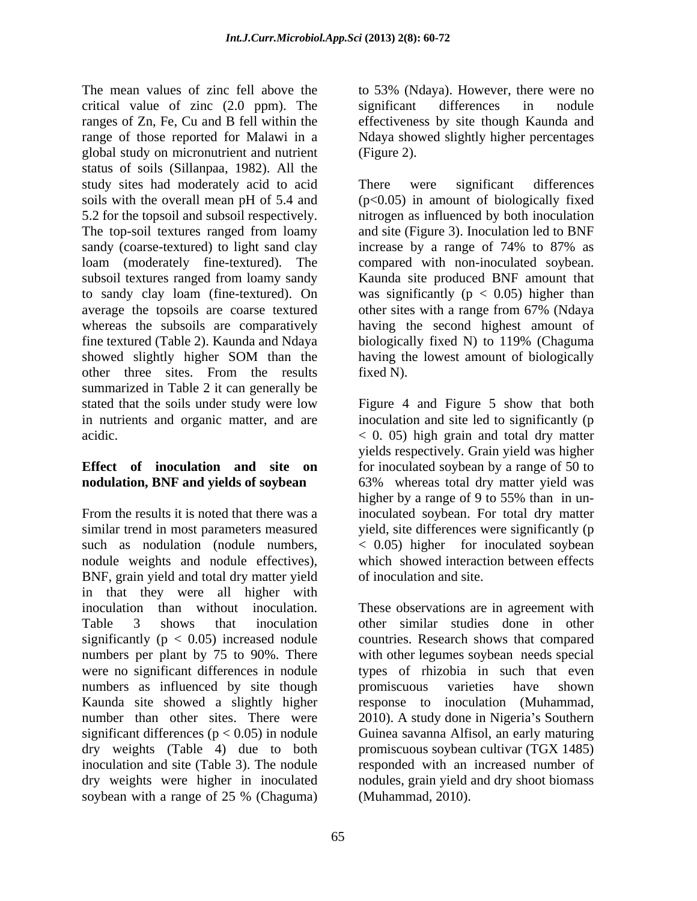The mean values of zinc fell above the to 53% (Ndaya). However, there were no critical value of zinc (2.0 ppm). The ranges of Zn, Fe, Cu and B fell within the effectiveness by site though Kaunda and range of those reported for Malawi in a Ndaya showed slightly higher percentages global study on micronutrient and nutrient status of soils (Sillanpaa, 1982). All the study sites had moderately acid to acid There were significant differences soils with the overall mean pH of 5.4 and  $(p<0.05)$  in amount of biologically fixed 5.2 for the topsoil and subsoil respectively. nitrogen as influenced by both inoculation The top-soil textures ranged from loamy and site (Figure 3). Inoculation led to BNF sandy (coarse-textured) to light sand clay increase by a range of 74% to 87% as loam (moderately fine-textured). The subsoil textures ranged from loamy sandy to sandy clay loam (fine-textured). On was significantly  $(p < 0.05)$  higher than average the topsoils are coarse textured other sites with a range from 67% (Ndaya whereas the subsoils are comparatively having the second highest amount of fine textured (Table 2). Kaunda and Ndaya showed slightly higher SOM than the having the lowest amount of biologically other three sites. From the results fixed N). summarized in Table 2 it can generally be stated that the soils under study were low Figure 4 and Figure 5 show that both in nutrients and organic matter, and are inoculation and site led to significantly (p acidic. < 0. 05) high grain and total dry matter

From the results it is noted that there was a inoculated soybean. For total dry matter similar trend in most parameters measured such as nodulation (nodule numbers, < 0.05) higher for inoculated soybean nodule weights and nodule effectives), which showed interaction between effects BNF, grain yield and total dry matter yield in that they were all higher with inoculation than without inoculation. These observations are in agreement with Table 3 shows that inoculation other similar studies done in other significantly (p < 0.05) increased nodule countries. Research shows that compared numbers per plant by 75 to 90%. There with other legumes soybean needs special were no significant differences in nodule types of rhizobia in such that even numbers as influenced by site though promiscuous varieties have shown Kaunda site showed a slightly higher number than other sites. There were 2010). A study done in Nigeria's Southern significant differences (p < 0.05) in nodule Guinea savanna Alfisol, an early maturing dry weights (Table 4) due to both inoculation and site (Table 3). The nodule responded with an increased number of dry weights were higher in inoculated nodules, grain yield and dry shoot biomass soybean with a range of 25 % (Chaguma) (Muhammad, 2010).

significant differences in nodule (Figure 2).

There were significant differences increase by a range of 74% to 87% as compared with non-inoculated soybean. Kaunda site produced BNF amount that other sites with a range from 67% (Ndaya biologically fixed N) to 119% (Chaguma having the lowest amount of biologically fixed N).

**Effect of inoculation and site on** for inoculated soybean by a range of 50 to **nodulation, BNF and yields of soybean** 63% whereas total dry matter yield was yields respectively. Grain yield was higher higher by a range of 9 to 55% than in unyield, site differences were significantly (p of inoculation and site.

> promiscuous varieties have shown response to inoculation (Muhammad, promiscuous soybean cultivar (TGX 1485) (Muhammad, 2010).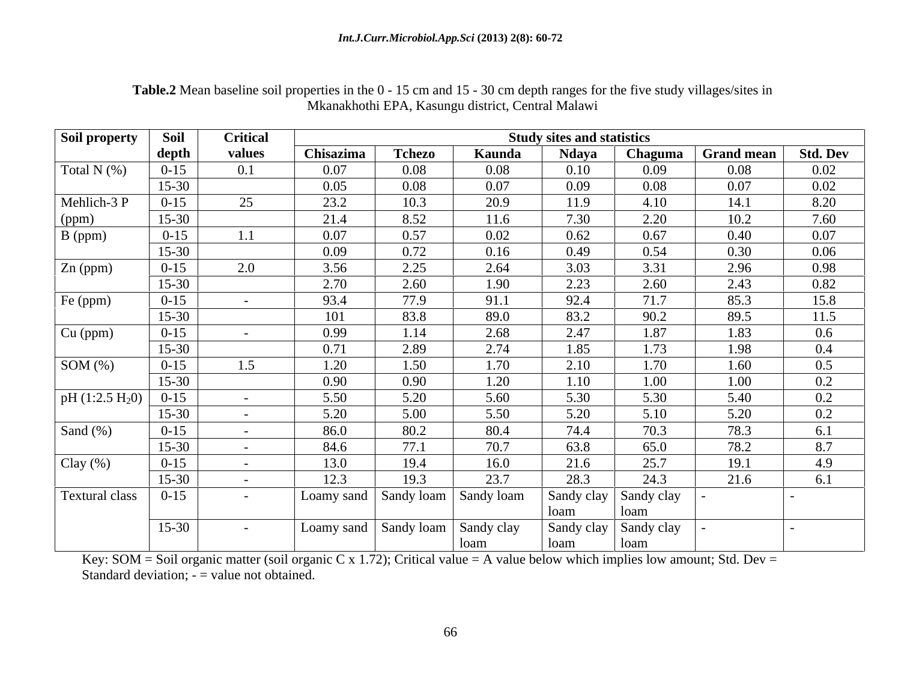| Soil property        | Soil      | <b>Critical</b> |            |               |                       | <b>Study sites and statistics</b> |                       |            |                 |
|----------------------|-----------|-----------------|------------|---------------|-----------------------|-----------------------------------|-----------------------|------------|-----------------|
|                      | depth     | values          | Chisazima  | <b>Tchezo</b> | Kaunda                | <b>Ndaya</b>                      | <b>Chaguma</b>        | Grand mean | <b>Std. Dev</b> |
| Total $N$ $(\%)$     | $0-15$    | 0.1             | 0.07       | 0.08          | 0.08                  | 0.10                              | 0.09                  | 0.08       | 0.02            |
|                      | $15 - 30$ |                 | 0.05       | 0.08          | 0.07                  | 0.09                              | 0.08                  | 0.07       | 0.02            |
| Mehlich-3 P          | $0 - 15$  | 25              | 23.2       | 10.3          | 20.9                  | 11.9                              | 4.10                  | 14.1       | 8.20            |
| (ppm)                | $15 - 30$ |                 | 21.4       | 8.52          | 11.6                  | 7.30                              | 2.20                  | 10.2       | 7.60            |
| B (ppm)              | $0 - 15$  |                 | 0.07       | 0.57          | 0.02                  | 0.62                              | 0.67                  | 0.40       | 0.07            |
|                      | $15-30$   |                 | 0.09       | 0.72          | 0.16                  | 0.49                              | 0.54                  | 0.30       | 0.06            |
| Zn (ppm)             | $0 - 15$  | 2.0             | 3.56       | 2.25          | 2.64                  | 3.03                              | 3.31                  | 2.96       | 0.98            |
|                      | $15-30$   |                 | 2.70       | 2.60          | 1.90                  | 2.23                              | 2.60                  | 2.43       | 0.82            |
| Fe (ppm)             | $0 - 15$  |                 | 93.4       | 77.9          | 91.1                  | 92.4                              | 71.7                  | 85.3       | 15.8            |
|                      | $15 - 30$ |                 | 101        | 83.8          | 89.0                  | 83.2                              | 90.2                  | 89.5       | 11.5            |
| $Cu$ (ppm)           | $0 - 15$  |                 | 0.99       | 1.14          | 2.68                  | 2.47                              | 1.87                  | 1.83       | $0.6\,$         |
|                      | $15 - 30$ |                 | 0.71       | 2.89          | 2.74                  | 1.85                              | 1.73                  | 1.98       | $0.4\,$         |
| SOM $(\%)$           | $0 - 15$  | 1.5             | 1.20       | 1.50          | 1.70                  | 2.10                              | 1.70                  | 1.60       | 0.5             |
|                      | $15-30$   |                 | 0.90       | 0.90          | 1.20                  | 1.10                              | 1.00                  | 1.00       | 0.2             |
| $pH(1:2.5 H20)$ 0-15 |           |                 | 5.50       | 5.20          | 5.60                  | 5.30                              | 5.30                  | 5.40       | 0.2             |
|                      | $15 - 30$ |                 | 5.20       | 5.00          | 5.50                  | 5.20                              | 5.10                  | 5.20       | $0.2\,$         |
| Sand $(\%)$          | $0 - 15$  |                 | 86.0       | 80.2          | 80.4                  | 74.4                              | 70.3                  | 78.3       | 6.1             |
|                      | $15-30$   |                 | 84.6       | 77.1          | 70.7                  | 63.8                              | 65.0                  | 78.2       | 8.7             |
| Clay $(\%)$          | $0 - 15$  |                 | 13.0       | 19.4          | 16.0                  | 21.6                              | 25.7                  | 19.1       | 4.9             |
|                      | $15-30$   |                 | 12.3       | 19.3          | 23.7                  | 28.3                              | 24.3                  | 21.6       | 6.1             |
| Textural class       | $0 - 15$  |                 | Loamy sand |               | Sandy loam Sandy loam |                                   | Sandy clay Sandy clay |            |                 |
|                      |           |                 |            |               |                       | loam-                             | loam                  |            |                 |
|                      | $15 - 30$ |                 | Loamy sand |               | Sandy loam Sandy clay |                                   | Sandy clay Sandy clay |            |                 |
|                      |           |                 |            |               | l loam                | loam                              | loam                  |            |                 |

**Table.2** Mean baseline soil properties in the 0 - 15 cm and 15 - 30 cm depth ranges for the five study villages/sites in Mkanakhothi EPA, Kasungu district, Central Malawi

Key: SOM = Soil organic matter (soil organic C x 1.72); Critical value = A value below which implies low amount; Std. Dev = Standard deviation; - = value not obtained.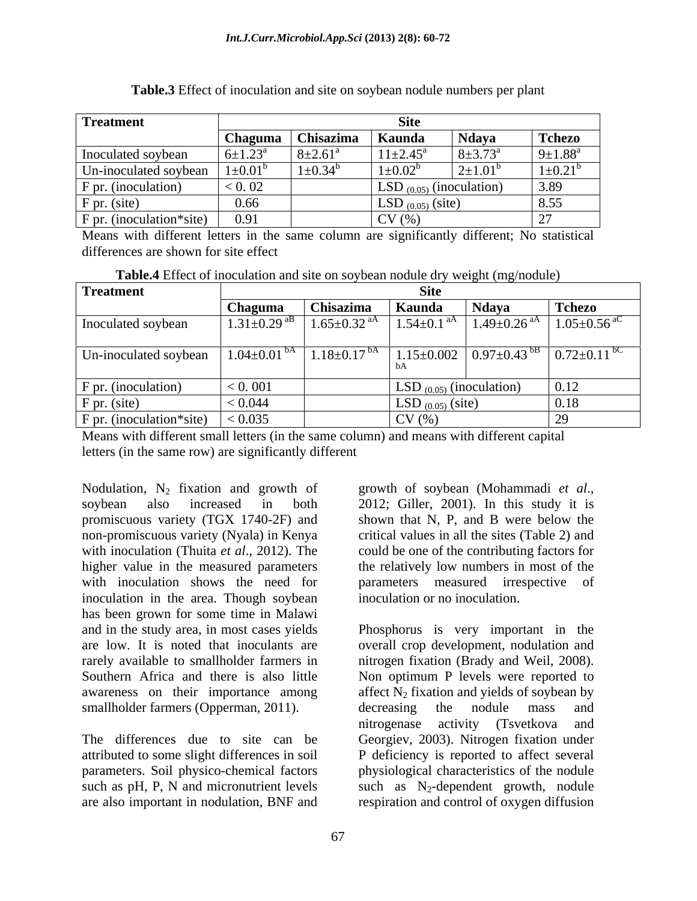| <b>Treatment</b>           |                      |                    | Site                                  |                      |                         |
|----------------------------|----------------------|--------------------|---------------------------------------|----------------------|-------------------------|
|                            | $\Box$ haguma        | Chisazima          | Kaunda                                | Ndaya                | Tchezo                  |
| Inoculated soybean         | $6 \pm 1.23^{\rm a}$ | $8\pm2.61^{\circ}$ | $11 \pm 2.45^{\text{a}}$              | $8 \pm 3.73^{\circ}$ | $9 \pm 1.88^{\text{a}}$ |
| Un-inoculated soybean      | $\pm 0.01^{\circ}$   | $1 \pm 0.34^b$     | $1 \pm 0.02^{\circ}$                  | $2\pm1.01^{\circ}$   | $1\pm0.21^{6}$          |
| F pr. (inoculation)        | < 0.02               |                    | $\vert$ LSD $_{(0.05)}$ (inoculation) |                      | 3.89                    |
| $F$ pr. (site)             | 0.66                 |                    | LSD $_{(0.05)}$ (site)                |                      | 8.55                    |
| $F$ pr. (inoculation*site) | 0.91                 |                    | CV(%                                  |                      |                         |

| Table.3 Effect of inoculation and site on soybean nodule a<br>$\mathcal{F} = \mathcal{F} \cdot \mathcal{F} = \mathcal{F} \cdot \mathcal{F} = \mathcal{F} \cdot \mathcal{F} \cdot \mathcal{F} = \mathcal{F} \cdot \mathcal{F} \cdot \mathcal{F} = \mathcal{F} \cdot \mathcal{F} \cdot \mathcal{F} \cdot \mathcal{F} \cdot \mathcal{F} \cdot \mathcal{F} \cdot \mathcal{F} \cdot \mathcal{F} \cdot \mathcal{F} \cdot \mathcal{F} \cdot \mathcal{F} \cdot \mathcal{F} \cdot \mathcal{F} \cdot \mathcal{F} \cdot \mathcal{F} \cdot \mathcal{F} \cdot \mathcal{F} \cdot \$<br>numbers per plant |  |
|--------------------------------------------------------------------------------------------------------------------------------------------------------------------------------------------------------------------------------------------------------------------------------------------------------------------------------------------------------------------------------------------------------------------------------------------------------------------------------------------------------------------------------------------------------------------------------------------|--|
|--------------------------------------------------------------------------------------------------------------------------------------------------------------------------------------------------------------------------------------------------------------------------------------------------------------------------------------------------------------------------------------------------------------------------------------------------------------------------------------------------------------------------------------------------------------------------------------------|--|

Means with different letters in the same column are significantly different; No statistical differences are shown for site effect

**Table.4** Effect of inoculation and site on soybean nodule dry weight (mg/nodule)

| Treatment                                                 |                 |                               |                                       |                               |                                                                            |
|-----------------------------------------------------------|-----------------|-------------------------------|---------------------------------------|-------------------------------|----------------------------------------------------------------------------|
|                                                           | <b>Chaguma</b>  | <b>Chisazima</b>              | ∣ Kaunda                              | <b>Ndaya</b>                  | Tchezo                                                                     |
| Inoculated soybean                                        | $1.31 \pm 0.29$ | 1.65 $\pm$ 0.32 <sup>aA</sup> | 1.54 $\pm$ 0.1 <sup>aA</sup>          | 1.49 $\pm$ 0.26 <sup>aA</sup> | $1.05 \pm 0.56$ <sup>aC</sup>                                              |
|                                                           |                 |                               |                                       |                               |                                                                            |
| Un-inoculated soybean $\left  1.04 \pm 0.01 \right ^{6A}$ |                 | $1.18 \pm 0.17$ <sup>bA</sup> |                                       |                               | $1.15\pm0.002$   $0.97\pm0.43$ <sup>bB</sup>   $0.72\pm0.11$ <sup>bC</sup> |
|                                                           |                 |                               |                                       |                               |                                                                            |
| F pr. (inoculation)                                       | 0.001           |                               | $\vert$ LSD $_{(0.05)}$ (inoculation) |                               | 0.12                                                                       |
| F pr. (site)                                              | 0.044           |                               | $LSD_{(0.05)} (site)$                 |                               | $\mid$ 0.18                                                                |
| F pr. (inoculation*site)                                  | 0.035           |                               | CV(%)                                 |                               |                                                                            |

Means with different small letters (in the same column) and means with different capital letters (in the same row) are significantly different

Nodulation,  $N_2$  fixation and growth of growth of soybean (Mohammadi *et al.*, soybean also increased in both 2012; Giller, 2001). In this study it is promiscuous variety (TGX 1740-2F) and non-promiscuous variety (Nyala) in Kenya with inoculation (Thuita *et al.*, 2012). The could be one of the contributing factors for higher value in the measured parameters the relatively low numbers in most of the with inoculation shows the need for parameters measured irrespective of inoculation in the area. Though soybean has been grown for some time in Malawi smallholder farmers (Opperman, 2011). decreasing the nodule mass and

parameters. Soil physico-chemical factors

growth of soybean (Mohammadi *et al*., 2012; Giller, 2001). In this study it is shown that N, P, and B were below the critical values in all the sites (Table 2) and inoculation or no inoculation.

and in the study area, in most cases yields Phosphorus is very important in the are low. It is noted that inoculants are overall crop development, nodulation and rarely available to smallholder farmers in nitrogen fixation (Brady and Weil, 2008). Southern Africa and there is also little Non optimum P levels were reported to awareness on their importance among affect  $N_2$  fixation and yields of soybean by The differences due to site can be Georgiev, 2003). Nitrogen fixation under attributed to some slight differences in soil P deficiency is reported to affect several such as  $pH$ , P, N and micronutrient levels such as  $N_2$ -dependent growth, nodule are also important in nodulation, BNF and respiration and control of oxygen diffusion decreasing the nodule mass and nitrogenase activity (Tsvetkova and physiological characteristics of the nodule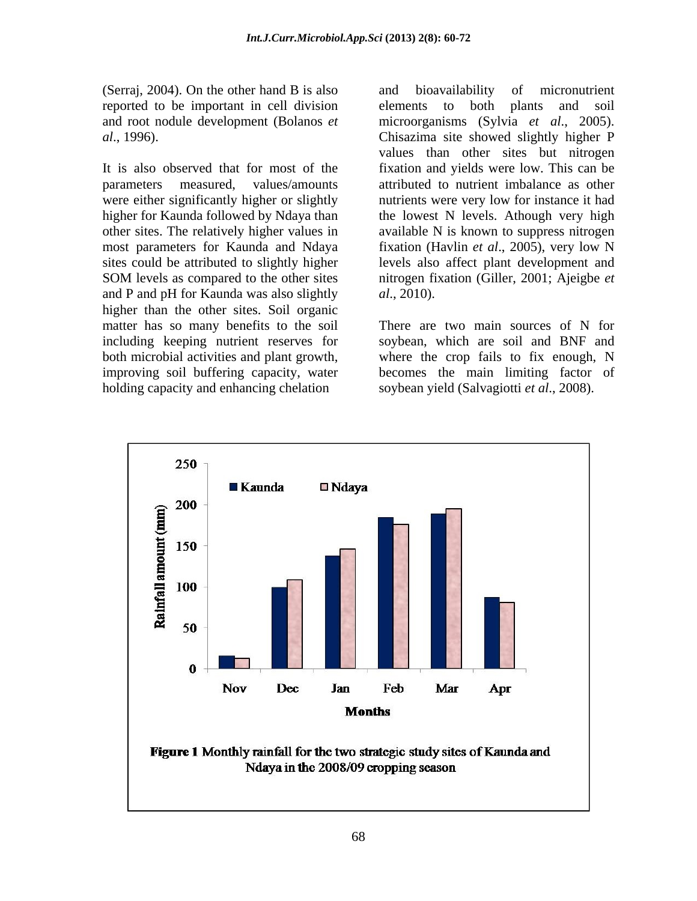(Serraj, 2004). On the other hand B is also and bioavailability of micronutrient reported to be important in cell division

sites could be attributed to slightly higher and P and pH for Kaunda was also slightly  $al., 2010$ . higher than the other sites. Soil organic matter has so many benefits to the soil including keeping nutrient reserves for soybean, which are soil and BNF and both microbial activities and plant growth, where the crop fails to fix enough, N improving soil buffering capacity, water becomes the main limiting factor of holding capacity and enhancing chelation

and root nodule development (Bolanos *et*  microorganisms (Sylvia *et al*., 2005). *al*., 1996). Chisazima site showed slightly higher P It is also observed that for most of the fixation and yields were low. This can be parameters measured, values/amounts attributed to nutrient imbalance as other were either significantly higher or slightly nutrients were very low for instance it had higher for Kaunda followed by Ndaya than the lowest N levels. Athough very high other sites. The relatively higher values in available N is known to suppress nitrogen most parameters for Kaunda and Ndaya fixation (Havlin *et al*., 2005), very low N SOM levels as compared to the other sites introgen fixation (Giller, 2001; Ajeigbe et and bioavailability of micronutrient elements to both plants and soil values than other sites but nitrogen levels also affect plant development and nitrogen fixation (Giller, 2001; Ajeigbe *et al*., 2010).

> There are two main sources of N for soybean yield (Salvagiotti *et al*., 2008).

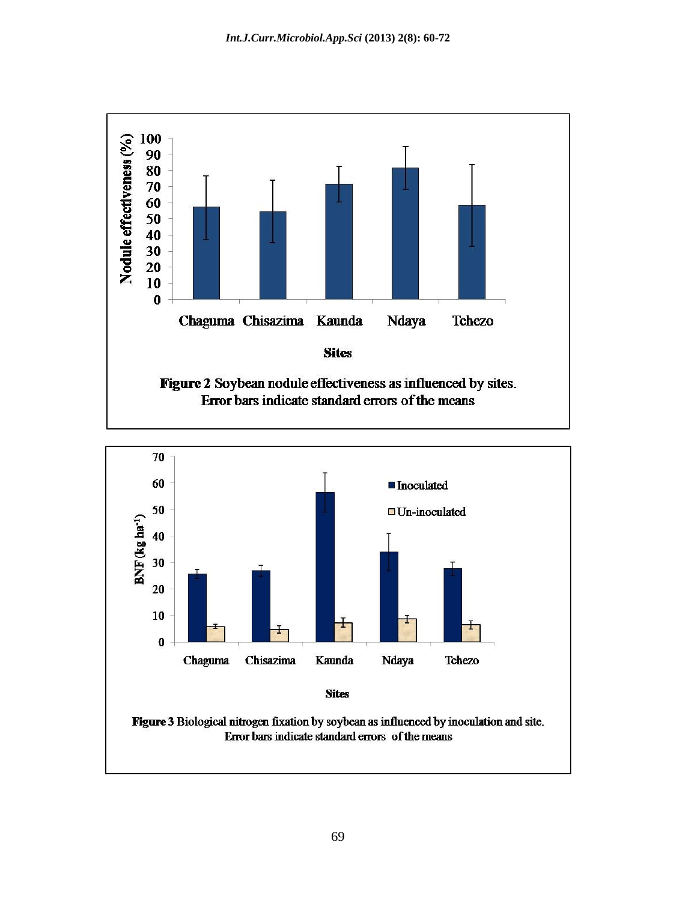

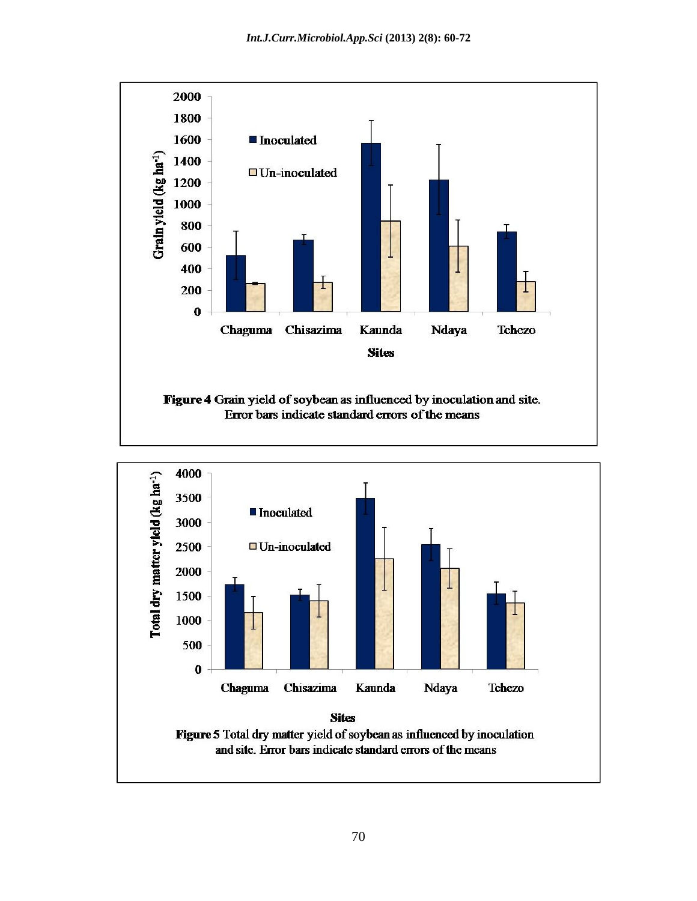

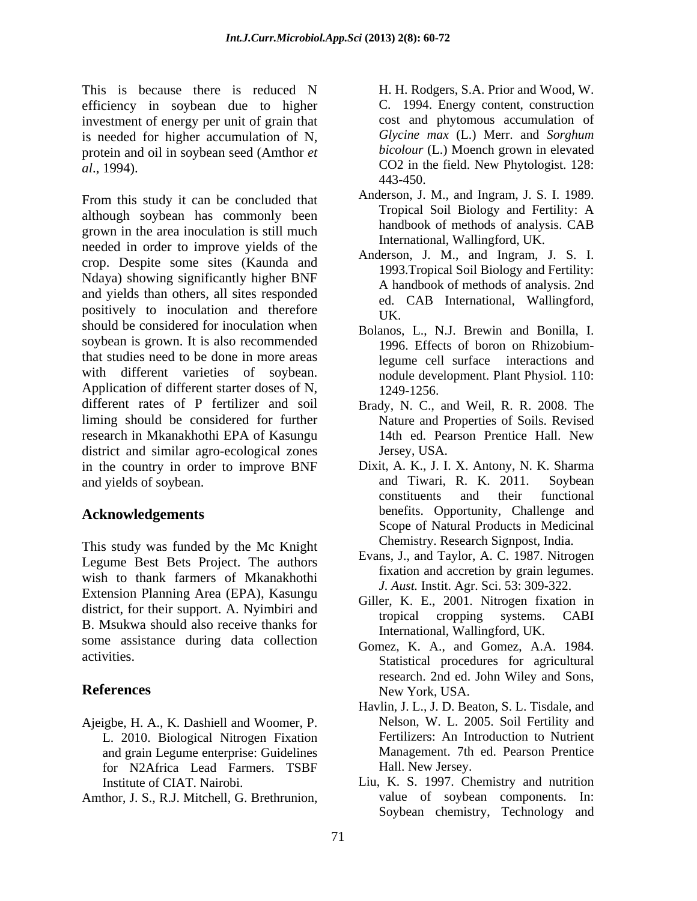This is because there is reduced N H. H. Rodgers, S.A. Prior and Wood, W. efficiency in soybean due to higher investment of energy per unit of grain that is needed for higher accumulation of N, protein and oil in soybean seed (Amthor *et al*., 1994). CO2 in the field. New Phytologist. 128:

From this study it can be concluded that although soybean has commonly been grown in the area inoculation is still much needed in order to improve yields of the crop. Despite some sites (Kaunda and Ndaya) showing significantly higher BNF and yields than others, all sites responded positively to inoculation and therefore  $U_K$ . should be considered for inoculation when soybean is grown. It is also recommended that studies need to be done in more areas with different varieties of soybean. and module development. Plant Physiol. 110:<br>Application of different starter doses of N, 1249-1256.<br>different rates of P fertilizer and soil Brady, N. C., and Weil, R. R. 2008. The liming should be considered for further research in Mkanakhothi EPA of Kasungu district and similar agro-ecological zones Jersey, USA. in the country in order to improve BNF This is hexane the energy between in the different control of the matter of energy between the control of the state of the state of the state of the state of the state of the state of the state of the state of the state of

This study was funded by the Mc Knight Legume Best Bets Project. The authors wish to thank farmers of Mkanakhothi Extension Planning Area (EPA), Kasungu district, for their support. A. Nyimbiri and<br>tropical cropping systems. CABI B. Msukwa should also receive thanks for some assistance during data collection

- Ajeigbe, H. A., K. Dashiell and Woomer, P. L. 2010. Biological Nitrogen Fixation and grain Legume enterprise: Guidelines for N2Africa Lead Farmers. TSBF
- 

C. 1994. Energy content, construction cost and phytomous accumulation of *Glycine max* (L.) Merr. and *Sorghum bicolour* (L.) Moench grown in elevated 443-450.

- Anderson, J. M., and Ingram, J. S. I. 1989. Tropical Soil Biology and Fertility: A handbook of methods of analysis. CAB International, Wallingford, UK.
- Anderson, J. M., and Ingram, J. S. I. 1993.Tropical Soil Biology and Fertility: A handbook of methods of analysis. 2nd ed. CAB International, Wallingford, UK.
- Bolanos, L., N.J. Brewin and Bonilla, I. 1996. Effects of boron on Rhizobiumlegume cell surface interactions and nodule development. Plant Physiol. 110: 1249-1256.
- Brady, N. C., and Weil, R. R. 2008. The Nature and Properties of Soils. Revised 14th ed. Pearson Prentice Hall. New Jersey, USA.
- and yields of soybean. and Tiwari, R. K. 2011. Soybean<br>constituents and their functional **Acknowledgements** benefits. Opportunity, Challenge and Dixit, A. K., J. I. X. Antony, N. K. Sharma and Tiwari, R. K. 2011. Soybean constituents and their functional Scope of Natural Products in Medicinal Chemistry. Research Signpost, India.
	- Evans, J., and Taylor, A. C. 1987. Nitrogen fixation and accretion by grain legumes. *J. Aust.* Instit. Agr. Sci. 53: 309-322.
	- Giller, K. E., 2001. Nitrogen fixation in tropical cropping systems. CABI International, Wallingford, UK.
- activities.<br>
Statistical procedures for agricultural **References** New York, USA. Gomez, K. A., and Gomez, A.A. 1984. research. 2nd ed. John Wiley and Sons, New York, USA.
	- Havlin, J. L., J. D. Beaton, S. L. Tisdale, and Nelson, W. L. 2005. Soil Fertility and Fertilizers: An Introduction to Nutrient Management. 7th ed. Pearson Prentice Hall. New Jersey.
	- Institute of CIAT. Nairobi. Liu, K. S. 1997. Chemistry and nutrition value of soybean components. In: Soybean chemistry, Technology and